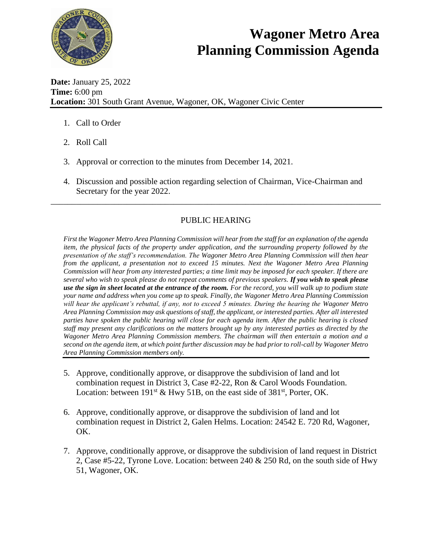

## **Wagoner Metro Area Planning Commission Agenda**

**Date:** January 25, 2022 **Time:** 6:00 pm **Location:** 301 South Grant Avenue, Wagoner, OK, Wagoner Civic Center

- 1. Call to Order
- 2. Roll Call
- 3. Approval or correction to the minutes from December 14, 2021.
- 4. Discussion and possible action regarding selection of Chairman, Vice-Chairman and Secretary for the year 2022.

## PUBLIC HEARING

\_\_\_\_\_\_\_\_\_\_\_\_\_\_\_\_\_\_\_\_\_\_\_\_\_\_\_\_\_\_\_\_\_\_\_\_\_\_\_\_\_\_\_\_\_\_\_\_\_\_\_\_\_\_\_\_\_\_\_\_\_\_\_\_\_\_\_\_\_\_\_\_\_\_\_\_\_\_

*First the Wagoner Metro Area Planning Commission will hear from the staff for an explanation of the agenda item, the physical facts of the property under application, and the surrounding property followed by the presentation of the staff's recommendation. The Wagoner Metro Area Planning Commission will then hear from the applicant, a presentation not to exceed 15 minutes. Next the Wagoner Metro Area Planning Commission will hear from any interested parties; a time limit may be imposed for each speaker. If there are several who wish to speak please do not repeat comments of previous speakers. If you wish to speak please use the sign in sheet located at the entrance of the room. For the record, you will walk up to podium state your name and address when you come up to speak. Finally, the Wagoner Metro Area Planning Commission will hear the applicant's rebuttal, if any, not to exceed 5 minutes. During the hearing the Wagoner Metro Area Planning Commission may ask questions of staff, the applicant, or interested parties. After all interested parties have spoken the public hearing will close for each agenda item. After the public hearing is closed staff may present any clarifications on the matters brought up by any interested parties as directed by the Wagoner Metro Area Planning Commission members. The chairman will then entertain a motion and a second on the agenda item, at which point further discussion may be had prior to roll-call by Wagoner Metro Area Planning Commission members only.* 

- 5. Approve, conditionally approve, or disapprove the subdivision of land and lot combination request in District 3, Case #2-22, Ron & Carol Woods Foundation. Location: between  $191<sup>st</sup>$  & Hwy 51B, on the east side of 381<sup>st</sup>, Porter, OK.
- 6. Approve, conditionally approve, or disapprove the subdivision of land and lot combination request in District 2, Galen Helms. Location: 24542 E. 720 Rd, Wagoner, OK.
- 7. Approve, conditionally approve, or disapprove the subdivision of land request in District 2, Case #5-22, Tyrone Love. Location: between 240 & 250 Rd, on the south side of Hwy 51, Wagoner, OK.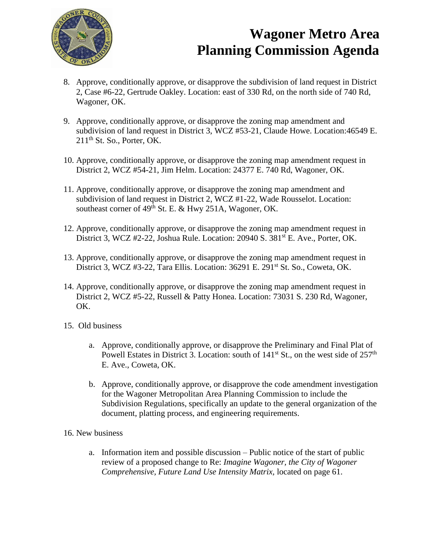

## **Wagoner Metro Area Planning Commission Agenda**

- 8. Approve, conditionally approve, or disapprove the subdivision of land request in District 2, Case #6-22, Gertrude Oakley. Location: east of 330 Rd, on the north side of 740 Rd, Wagoner, OK.
- 9. Approve, conditionally approve, or disapprove the zoning map amendment and subdivision of land request in District 3, WCZ #53-21, Claude Howe. Location:46549 E.  $211<sup>th</sup>$  St. So., Porter, OK.
- 10. Approve, conditionally approve, or disapprove the zoning map amendment request in District 2, WCZ #54-21, Jim Helm. Location: 24377 E. 740 Rd, Wagoner, OK.
- 11. Approve, conditionally approve, or disapprove the zoning map amendment and subdivision of land request in District 2, WCZ #1-22, Wade Rousselot. Location: southeast corner of  $49<sup>th</sup>$  St. E. & Hwy 251A, Wagoner, OK.
- 12. Approve, conditionally approve, or disapprove the zoning map amendment request in District 3, WCZ #2-22, Joshua Rule. Location: 20940 S. 381<sup>st</sup> E. Ave., Porter, OK.
- 13. Approve, conditionally approve, or disapprove the zoning map amendment request in District 3, WCZ #3-22, Tara Ellis. Location: 36291 E. 291<sup>st</sup> St. So., Coweta, OK.
- 14. Approve, conditionally approve, or disapprove the zoning map amendment request in District 2, WCZ #5-22, Russell & Patty Honea. Location: 73031 S. 230 Rd, Wagoner, OK.
- 15. Old business
	- a. Approve, conditionally approve, or disapprove the Preliminary and Final Plat of Powell Estates in District 3. Location: south of  $141<sup>st</sup>$  St., on the west side of  $257<sup>th</sup>$ E. Ave., Coweta, OK.
	- b. Approve, conditionally approve, or disapprove the code amendment investigation for the Wagoner Metropolitan Area Planning Commission to include the Subdivision Regulations, specifically an update to the general organization of the document, platting process, and engineering requirements.
- 16. New business
	- a. Information item and possible discussion Public notice of the start of public review of a proposed change to Re: *Imagine Wagoner, the City of Wagoner Comprehensive, Future Land Use Intensity Matrix,* located on page 61.